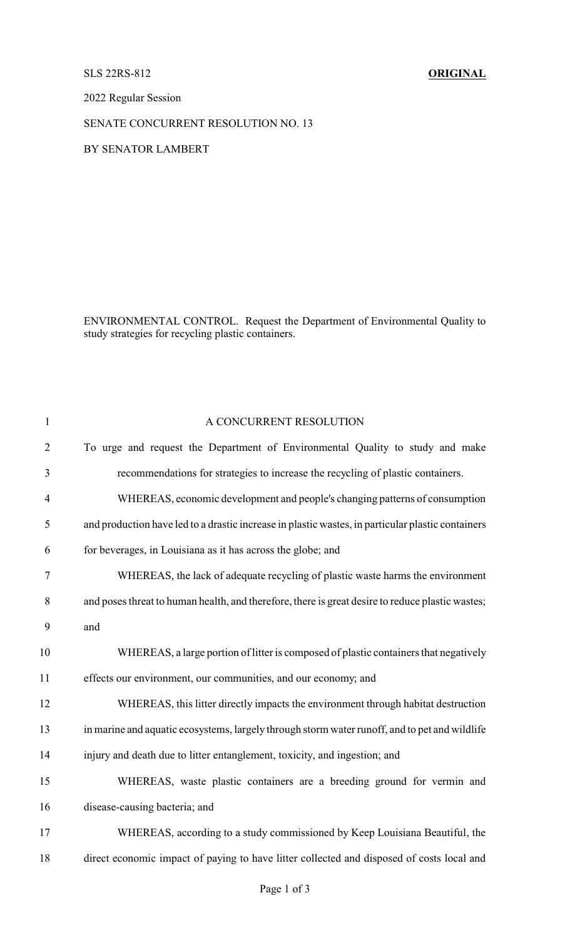## SLS 22RS-812 **ORIGINAL**

2022 Regular Session

## SENATE CONCURRENT RESOLUTION NO. 13

## BY SENATOR LAMBERT

ENVIRONMENTAL CONTROL. Request the Department of Environmental Quality to study strategies for recycling plastic containers.

| $\mathbf{1}$   | A CONCURRENT RESOLUTION                                                                           |
|----------------|---------------------------------------------------------------------------------------------------|
| $\overline{2}$ | To urge and request the Department of Environmental Quality to study and make                     |
| 3              | recommendations for strategies to increase the recycling of plastic containers.                   |
| $\overline{4}$ | WHEREAS, economic development and people's changing patterns of consumption                       |
| 5              | and production have led to a drastic increase in plastic wastes, in particular plastic containers |
| 6              | for beverages, in Louisiana as it has across the globe; and                                       |
| $\tau$         | WHEREAS, the lack of adequate recycling of plastic waste harms the environment                    |
| $8\,$          | and poses threat to human health, and therefore, there is great desire to reduce plastic wastes;  |
| 9              | and                                                                                               |
| 10             | WHEREAS, a large portion of litter is composed of plastic containers that negatively              |
| 11             | effects our environment, our communities, and our economy; and                                    |
| 12             | WHEREAS, this litter directly impacts the environment through habitat destruction                 |
| 13             | in marine and aquatic ecosystems, largely through storm water runoff, and to pet and wildlife     |
| 14             | injury and death due to litter entanglement, toxicity, and ingestion; and                         |
| 15             | WHEREAS, waste plastic containers are a breeding ground for vermin and                            |
| 16             | disease-causing bacteria; and                                                                     |
| 17             | WHEREAS, according to a study commissioned by Keep Louisiana Beautiful, the                       |
| 18             | direct economic impact of paying to have litter collected and disposed of costs local and         |
|                |                                                                                                   |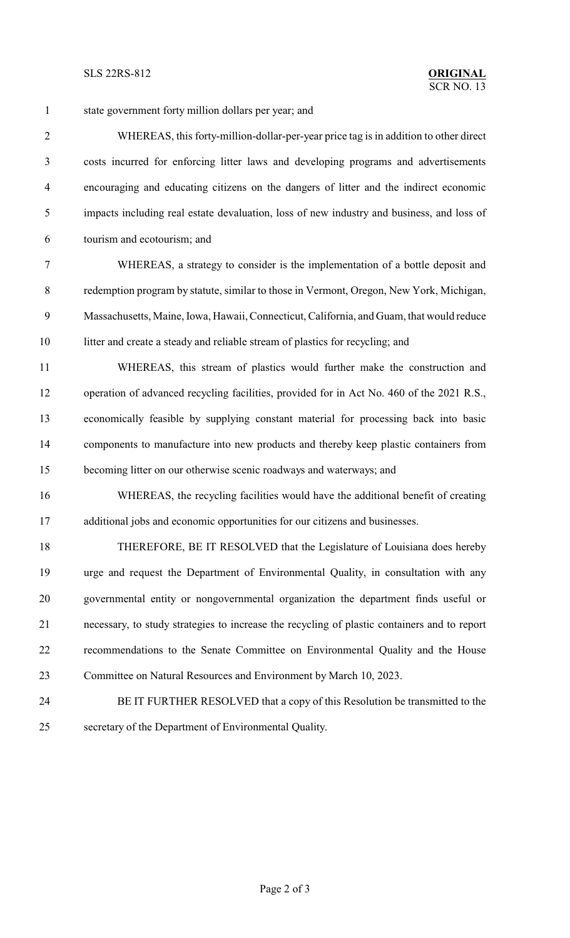state government forty million dollars per year; and WHEREAS, this forty-million-dollar-per-year price tag is in addition to other direct costs incurred for enforcing litter laws and developing programs and advertisements encouraging and educating citizens on the dangers of litter and the indirect economic impacts including real estate devaluation, loss of new industry and business, and loss of tourism and ecotourism; and WHEREAS, a strategy to consider is the implementation of a bottle deposit and redemption program by statute, similar to those in Vermont, Oregon, New York, Michigan, Massachusetts, Maine, Iowa, Hawaii, Connecticut, California, and Guam, that would reduce 10 litter and create a steady and reliable stream of plastics for recycling; and WHEREAS, this stream of plastics would further make the construction and operation of advanced recycling facilities, provided for in Act No. 460 of the 2021 R.S., economically feasible by supplying constant material for processing back into basic components to manufacture into new products and thereby keep plastic containers from becoming litter on our otherwise scenic roadways and waterways; and WHEREAS, the recycling facilities would have the additional benefit of creating additional jobs and economic opportunities for our citizens and businesses. THEREFORE, BE IT RESOLVED that the Legislature of Louisiana does hereby urge and request the Department of Environmental Quality, in consultation with any governmental entity or nongovernmental organization the department finds useful or necessary, to study strategies to increase the recycling of plastic containers and to report recommendations to the Senate Committee on Environmental Quality and the House Committee on Natural Resources and Environment by March 10, 2023.

 BE IT FURTHER RESOLVED that a copy of this Resolution be transmitted to the secretary of the Department of Environmental Quality.